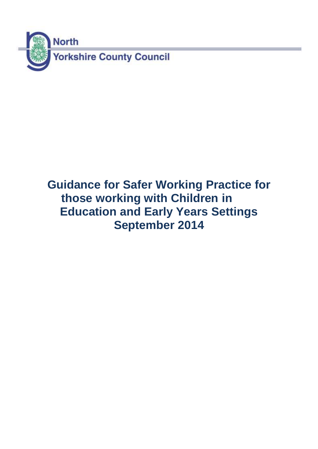

# **Guidance for Safer Working Practice for those working with Children in Education and Early Years Settings September 2014**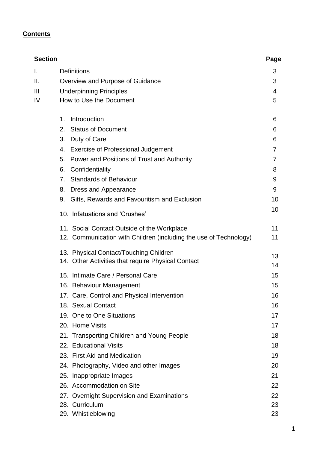## **Contents**

| <b>Section</b> |                                                                   | Page |
|----------------|-------------------------------------------------------------------|------|
| I.             | <b>Definitions</b>                                                | 3    |
| Ⅱ.             | Overview and Purpose of Guidance                                  | 3    |
| Ш              | <b>Underpinning Principles</b>                                    | 4    |
| IV             | How to Use the Document                                           | 5    |
|                | Introduction<br>1.                                                | 6    |
|                | <b>Status of Document</b><br>2.                                   | 6    |
|                | 3.<br>Duty of Care                                                | 6    |
|                | <b>Exercise of Professional Judgement</b><br>4.                   | 7    |
|                | 5.<br>Power and Positions of Trust and Authority                  | 7    |
|                | Confidentiality<br>6.                                             | 8    |
|                | <b>Standards of Behaviour</b><br>7.                               | 9    |
|                | Dress and Appearance<br>8.                                        | 9    |
|                | Gifts, Rewards and Favouritism and Exclusion<br>9.                | 10   |
|                | 10. Infatuations and 'Crushes'                                    | 10   |
|                | 11. Social Contact Outside of the Workplace                       | 11   |
|                | 12. Communication with Children (including the use of Technology) | 11   |
|                | 13. Physical Contact/Touching Children                            | 13   |
|                | 14. Other Activities that require Physical Contact                | 14   |
|                | 15. Intimate Care / Personal Care                                 | 15   |
|                | 16. Behaviour Management                                          | 15   |
|                | 17. Care, Control and Physical Intervention                       | 16   |
|                | 18. Sexual Contact                                                | 16   |
|                | 19. One to One Situations                                         | 17   |
|                | 20. Home Visits                                                   | 17   |
|                | 21. Transporting Children and Young People                        | 18   |
|                | 22. Educational Visits                                            | 18   |
|                | 23. First Aid and Medication                                      | 19   |
|                | 24. Photography, Video and other Images                           | 20   |
|                | 25. Inappropriate Images                                          | 21   |
|                | 26. Accommodation on Site                                         | 22   |
|                | 27. Overnight Supervision and Examinations                        | 22   |
|                | 28. Curriculum                                                    | 23   |
|                | 29. Whistleblowing                                                | 23   |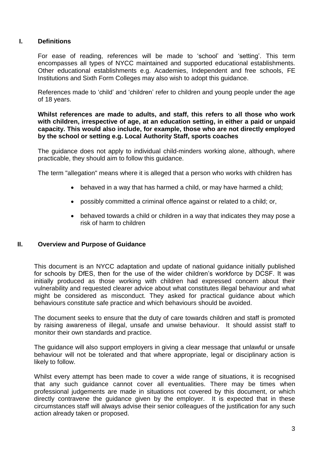## **I. Definitions**

For ease of reading, references will be made to 'school' and 'setting'. This term encompasses all types of NYCC maintained and supported educational establishments. Other educational establishments e.g. Academies, Independent and free schools, FE Institutions and Sixth Form Colleges may also wish to adopt this guidance.

References made to 'child' and 'children' refer to children and young people under the age of 18 years.

**Whilst references are made to adults, and staff, this refers to all those who work with children, irrespective of age, at an education setting, in either a paid or unpaid capacity. This would also include, for example, those who are not directly employed by the school or setting e.g. Local Authority Staff, sports coaches**

The guidance does not apply to individual child-minders working alone, although, where practicable, they should aim to follow this guidance.

The term "allegation" means where it is alleged that a person who works with children has

- behaved in a way that has harmed a child, or may have harmed a child;
- possibly committed a criminal offence against or related to a child; or,
- behaved towards a child or children in a way that indicates they may pose a risk of harm to children

## **II. Overview and Purpose of Guidance**

This document is an NYCC adaptation and update of national guidance initially published for schools by DfES, then for the use of the wider children's workforce by DCSF. It was initially produced as those working with children had expressed concern about their vulnerability and requested clearer advice about what constitutes illegal behaviour and what might be considered as misconduct. They asked for practical guidance about which behaviours constitute safe practice and which behaviours should be avoided.

The document seeks to ensure that the duty of care towards children and staff is promoted by raising awareness of illegal, unsafe and unwise behaviour. It should assist staff to monitor their own standards and practice.

The guidance will also support employers in giving a clear message that unlawful or unsafe behaviour will not be tolerated and that where appropriate, legal or disciplinary action is likely to follow.

Whilst every attempt has been made to cover a wide range of situations, it is recognised that any such guidance cannot cover all eventualities. There may be times when professional judgements are made in situations not covered by this document, or which directly contravene the guidance given by the employer. It is expected that in these circumstances staff will always advise their senior colleagues of the justification for any such action already taken or proposed.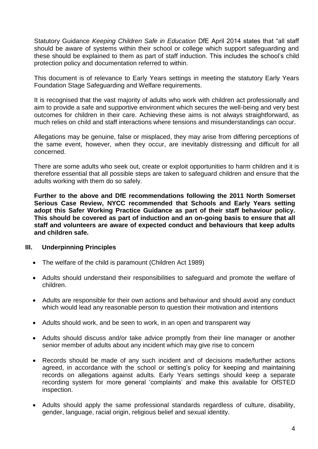Statutory Guidance *Keeping Children Safe in Education* DfE April 2014 states that "all staff should be aware of systems within their school or college which support safeguarding and these should be explained to them as part of staff induction. This includes the school's child protection policy and documentation referred to within.

This document is of relevance to Early Years settings in meeting the statutory Early Years Foundation Stage Safeguarding and Welfare requirements.

It is recognised that the vast majority of adults who work with children act professionally and aim to provide a safe and supportive environment which secures the well-being and very best outcomes for children in their care. Achieving these aims is not always straightforward, as much relies on child and staff interactions where tensions and misunderstandings can occur.

Allegations may be genuine, false or misplaced, they may arise from differing perceptions of the same event, however, when they occur, are inevitably distressing and difficult for all concerned.

There are some adults who seek out, create or exploit opportunities to harm children and it is therefore essential that all possible steps are taken to safeguard children and ensure that the adults working with them do so safely.

**Further to the above and DfE recommendations following the 2011 North Somerset Serious Case Review, NYCC recommended that Schools and Early Years setting adopt this Safer Working Practice Guidance as part of their staff behaviour policy. This should be covered as part of induction and an on-going basis to ensure that all staff and volunteers are aware of expected conduct and behaviours that keep adults and children safe.** 

## **III. Underpinning Principles**

- The welfare of the child is paramount (Children Act 1989)
- Adults should understand their responsibilities to safeguard and promote the welfare of children.
- Adults are responsible for their own actions and behaviour and should avoid any conduct which would lead any reasonable person to question their motivation and intentions
- Adults should work, and be seen to work, in an open and transparent way
- Adults should discuss and/or take advice promptly from their line manager or another senior member of adults about any incident which may give rise to concern
- Records should be made of any such incident and of decisions made/further actions agreed, in accordance with the school or setting's policy for keeping and maintaining records on allegations against adults. Early Years settings should keep a separate recording system for more general 'complaints' and make this available for OfSTED inspection.
- Adults should apply the same professional standards regardless of culture, disability, gender, language, racial origin, religious belief and sexual identity.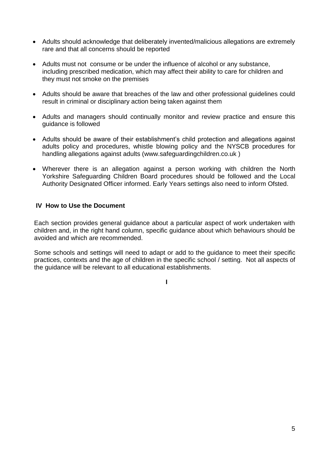- Adults should acknowledge that deliberately invented/malicious allegations are extremely rare and that all concerns should be reported
- Adults must not consume or be under the influence of alcohol or any substance, including prescribed medication, which may affect their ability to care for children and they must not smoke on the premises
- Adults should be aware that breaches of the law and other professional guidelines could result in criminal or disciplinary action being taken against them
- Adults and managers should continually monitor and review practice and ensure this guidance is followed
- Adults should be aware of their establishment's child protection and allegations against adults policy and procedures, whistle blowing policy and the NYSCB procedures for handling allegations against adults (www.safeguardingchildren.co.uk )
- Wherever there is an allegation against a person working with children the North Yorkshire Safeguarding Children Board procedures should be followed and the Local Authority Designated Officer informed. Early Years settings also need to inform Ofsted.

## **IV How to Use the Document**

Each section provides general guidance about a particular aspect of work undertaken with children and, in the right hand column, specific guidance about which behaviours should be avoided and which are recommended.

Some schools and settings will need to adapt or add to the guidance to meet their specific practices, contexts and the age of children in the specific school / setting. Not all aspects of the guidance will be relevant to all educational establishments.

**I**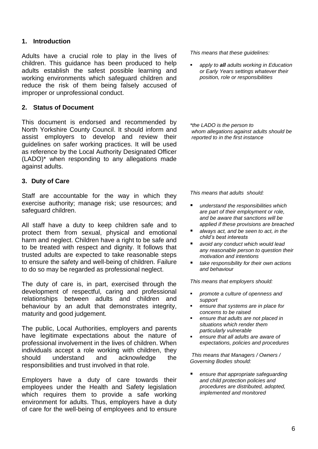## **1. Introduction**

Adults have a crucial role to play in the lives of children. This guidance has been produced to help adults establish the safest possible learning and working environments which safeguard children and reduce the risk of them being falsely accused of improper or unprofessional conduct.

## **2. Status of Document**

This document is endorsed and recommended by North Yorkshire County Council. It should inform and assist employers to develop and review their guidelines on safer working practices. It will be used as reference by the Local Authority Designated Officer (LADO)\* when responding to any allegations made against adults.

## **3. Duty of Care**

Staff are accountable for the way in which they exercise authority; manage risk; use resources; and safeguard children.

All staff have a duty to keep children safe and to protect them from sexual, physical and emotional harm and neglect. Children have a right to be safe and to be treated with respect and dignity. It follows that trusted adults are expected to take reasonable steps to ensure the safety and well-being of children. Failure to do so may be regarded as professional neglect.

The duty of care is, in part, exercised through the development of respectful, caring and professional relationships between adults and children and behaviour by an adult that demonstrates integrity, maturity and good judgement.

The public, Local Authorities, employers and parents have legitimate expectations about the nature of professional involvement in the lives of children. When individuals accept a role working with children, they should understand and acknowledge the responsibilities and trust involved in that role.

Employers have a duty of care towards their employees under the Health and Safety legislation which requires them to provide a safe working environment for adults. Thus, employers have a duty of care for the well-being of employees and to ensure

*This means that these guidelines:*

 *apply to all adults working in Education or Early Years settings whatever their position, role or responsibilities*

*\*the LADO is the person to whom allegations against adults should be reported to in the first instance* 

*This means that adults should:*

- *understand the responsibilities which are part of their employment or role, and be aware that sanctions will be applied if these provisions are breached*
- *always act, and be seen to act, in the child's best interests*
- *avoid any conduct which would lead any reasonable person to question their motivation and intentions*
- *take responsibility for their own actions and behaviour*

*This means that employers should:*

- *promote a culture of openness and support*
- *ensure that systems are in place for concerns to be raised*
- *ensure that adults are not placed in situations which render them particularly vulnerable*
- *ensure that all adults are aware of expectations, policies and procedures*

*This means that Managers / Owners / Governing Bodies should:*

 *ensure that appropriate safeguarding and child protection policies and procedures are distributed, adopted, implemented and monitored*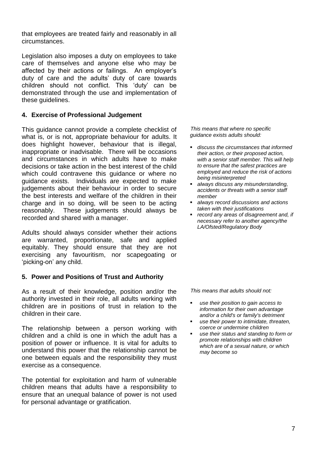that employees are treated fairly and reasonably in all circumstances.

Legislation also imposes a duty on employees to take care of themselves and anyone else who may be affected by their actions or failings. An employer's duty of care and the adults' duty of care towards children should not conflict. This 'duty' can be demonstrated through the use and implementation of these guidelines.

## **4. Exercise of Professional Judgement**

This guidance cannot provide a complete checklist of what is, or is not, appropriate behaviour for adults. It does highlight however, behaviour that is illegal, inappropriate or inadvisable. There will be occasions and circumstances in which adults have to make decisions or take action in the best interest of the child which could contravene this guidance or where no guidance exists. Individuals are expected to make judgements about their behaviour in order to secure the best interests and welfare of the children in their charge and in so doing, will be seen to be acting reasonably. These judgements should always be recorded and shared with a manager.

Adults should always consider whether their actions are warranted, proportionate, safe and applied equitably. They should ensure that they are not exercising any favouritism, nor scapegoating or 'picking-on' any child.

## **5. Power and Positions of Trust and Authority**

As a result of their knowledge, position and/or the authority invested in their role, all adults working with children are in positions of trust in relation to the children in their care.

The relationship between a person working with children and a child is one in which the adult has a position of power or influence. It is vital for adults to understand this power that the relationship cannot be one between equals and the responsibility they must exercise as a consequence.

The potential for exploitation and harm of vulnerable children means that adults have a responsibility to ensure that an unequal balance of power is not used for personal advantage or gratification.

*This means that where no specific guidance exists adults should:*

- *discuss the circumstances that informed their action, or their proposed action, with a senior staff member. This will help to ensure that the safest practices are employed and reduce the risk of actions being misinterpreted*
- *always discuss any misunderstanding, accidents or threats with a senior staff member*
- *always record discussions and actions taken with their justifications*
- *record any areas of disagreement and, if necessary refer to another agency/the LA/Ofsted/Regulatory Body*

- *use their position to gain access to information for their own advantage and/or a child's or family's detriment*
- *use their power to intimidate, threaten, coerce or undermine children*
- *use their status and standing to form or promote relationships with children which are of a sexual nature, or which may become so*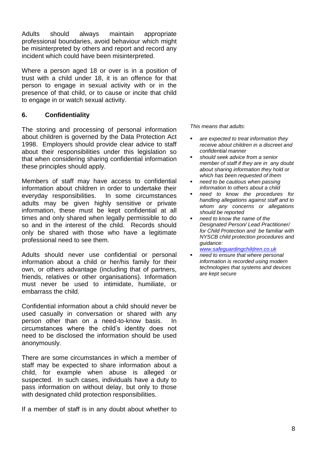Adults should always maintain appropriate professional boundaries, avoid behaviour which might be misinterpreted by others and report and record any incident which could have been misinterpreted.

Where a person aged 18 or over is in a position of trust with a child under 18, it is an offence for that person to engage in sexual activity with or in the presence of that child, or to cause or incite that child to engage in or watch sexual activity.

## **6. Confidentiality**

The storing and processing of personal information about children is governed by the Data Protection Act 1998. Employers should provide clear advice to staff about their responsibilities under this legislation so that when considering sharing confidential information these principles should apply.

Members of staff may have access to confidential information about children in order to undertake their everyday responsibilities. In some circumstances adults may be given highly sensitive or private information, these must be kept confidential at all times and only shared when legally permissible to do so and in the interest of the child. Records should only be shared with those who have a legitimate professional need to see them.

Adults should never use confidential or personal information about a child or her/his family for their own, or others advantage (including that of partners, friends, relatives or other organisations). Information must never be used to intimidate, humiliate, or embarrass the child.

Confidential information about a child should never be used casually in conversation or shared with any person other than on a need-to-know basis. In circumstances where the child's identity does not need to be disclosed the information should be used anonymously.

There are some circumstances in which a member of staff may be expected to share information about a child, for example when abuse is alleged or suspected. In such cases, individuals have a duty to pass information on without delay, but only to those with designated child protection responsibilities.

If a member of staff is in any doubt about whether to

*This means that adults:*

- *are expected to treat information they receive about children in a discreet and confidential manner*
- *should seek advice from a senior member of staff if they are in any doubt about sharing information they hold or which has been requested of them*
- *need to be cautious when passing information to others about a child*
- *need to know the procedures for handling allegations against staff and to whom any concerns or allegations should be reported*
- *need to know the name of the Designated Person/ Lead Practitioner/ for Child Protection and be familiar with NYSCB child protection procedures and guidance:*

*[www.safeguardingchildren.co.uk](http://www.safeguardingchildren.co.uk/)*

 *need to ensure that where personal information is recorded using modern technologies that systems and devices are kept secure*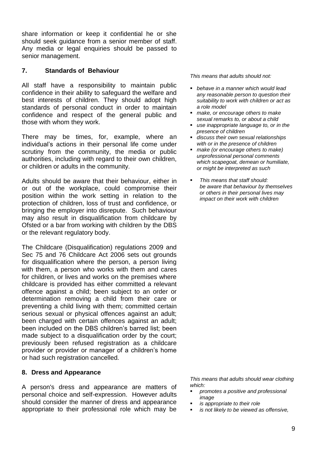share information or keep it confidential he or she should seek guidance from a senior member of staff. Any media or legal enquiries should be passed to senior management.

## **7. Standards of Behaviour**

All staff have a responsibility to maintain public confidence in their ability to safeguard the welfare and best interests of children. They should adopt high standards of personal conduct in order to maintain confidence and respect of the general public and those with whom they work.

There may be times, for, example, where an individual's actions in their personal life come under scrutiny from the community, the media or public authorities, including with regard to their own children, or children or adults in the community.

Adults should be aware that their behaviour, either in or out of the workplace, could compromise their position within the work setting in relation to the protection of children, loss of trust and confidence, or bringing the employer into disrepute. Such behaviour may also result in disqualification from childcare by Ofsted or a bar from working with children by the DBS or the relevant regulatory body.

The Childcare (Disqualification) regulations 2009 and Sec 75 and 76 Childcare Act 2006 sets out grounds for disqualification where the person, a person living with them, a person who works with them and cares for children, or lives and works on the premises where childcare is provided has either committed a relevant offence against a child; been subject to an order or determination removing a child from their care or preventing a child living with them; committed certain serious sexual or physical offences against an adult; been charged with certain offences against an adult; been included on the DBS children's barred list; been made subject to a disqualification order by the court; previously been refused registration as a childcare provider or provider or manager of a children's home or had such registration cancelled*.*

## **8. Dress and Appearance**

A person's dress and appearance are matters of personal choice and self-expression. However adults should consider the manner of dress and appearance appropriate to their professional role which may be

*This means that adults should not:*

- *behave in a manner which would lead any reasonable person to question their suitability to work with children or act as a role model*
- *make, or encourage others to make sexual remarks to, or about a child*
- *use inappropriate language to, or in the presence of children*
- *discuss their own sexual relationships with or in the presence of children*
- *make (or encourage others to make) unprofessional personal comments which scapegoat, demean or humiliate, or might be interpreted as such*
- *This means that staff should: be aware that behaviour by themselves or others in their personal lives may impact on their work with children*

*This means that adults should wear clothing which:*

- *promotes a positive and professional image*
- *is appropriate to their role*
- *is not likely to be viewed as offensive,*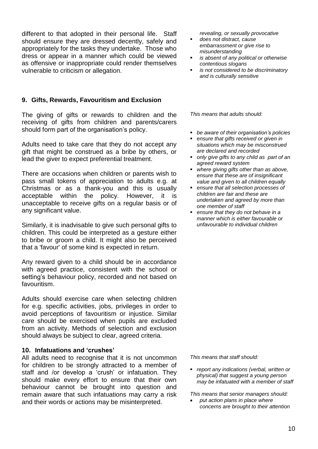different to that adopted in their personal life. Staff should ensure they are dressed decently, safely and appropriately for the tasks they undertake. Those who dress or appear in a manner which could be viewed as offensive or inappropriate could render themselves vulnerable to criticism or allegation.

## **9. Gifts, Rewards, Favouritism and Exclusion**

The giving of gifts or rewards to children and the receiving of gifts from children and parents/carers should form part of the organisation's policy.

Adults need to take care that they do not accept any gift that might be construed as a bribe by others, or lead the giver to expect preferential treatment.

There are occasions when children or parents wish to pass small tokens of appreciation to adults e.g. at Christmas or as a thank-you and this is usually acceptable within the policy. However, it is unacceptable to receive gifts on a regular basis or of any significant value.

Similarly, it is inadvisable to give such personal gifts to children. This could be interpreted as a gesture either to bribe or groom a child. It might also be perceived that a 'favour' of some kind is expected in return.

Any reward given to a child should be in accordance with agreed practice, consistent with the school or setting's behaviour policy, recorded and not based on favouritism.

Adults should exercise care when selecting children for e.g. specific activities, jobs, privileges in order to avoid perceptions of favouritism or injustice. Similar care should be exercised when pupils are excluded from an activity. Methods of selection and exclusion should always be subject to clear, agreed criteria.

## **10. Infatuations and 'crushes'**

All adults need to recognise that it is not uncommon for children to be strongly attracted to a member of staff and /or develop a 'crush' or infatuation. They should make every effort to ensure that their own behaviour cannot be brought into question and remain aware that such infatuations may carry a risk and their words or actions may be misinterpreted.

*revealing, or sexually provocative*

- *does not distract, cause embarrassment or give rise to misunderstanding*
- *is absent of any political or otherwise contentious slogans*
- *is not considered to be discriminatory and is culturally sensitive*

*This means that adults should:* 

- *be aware of their organisation's policies*
- *ensure that gifts received or given in situations which may be misconstrued are declared and recorded*
- *only give gifts to any child as part of an agreed reward system*
- *where giving gifts other than as above, ensure that these are of insignificant value and given to all children equally*
- *ensure that all selection processes of children are fair and these are undertaken and agreed by more than one member of staff*
- *ensure that they do not behave in a manner which is either favourable or unfavourable to individual children*

*This means that staff should:*

 *report any indications (verbal, written or physical) that suggest a young person may be infatuated with a member of staff*

*This means that senior managers should:*

 *put action plans in place where concerns are brought to their attention*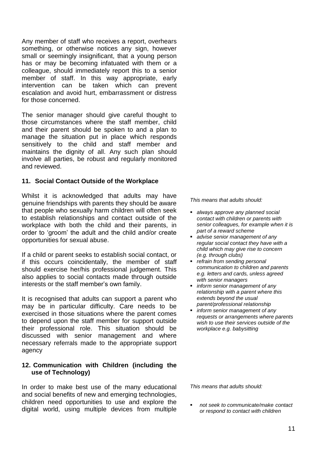Any member of staff who receives a report, overhears something, or otherwise notices any sign, however small or seemingly insignificant, that a young person has or may be becoming infatuated with them or a colleague, should immediately report this to a senior member of staff. In this way appropriate, early intervention can be taken which can prevent escalation and avoid hurt, embarrassment or distress for those concerned.

The senior manager should give careful thought to those circumstances where the staff member, child and their parent should be spoken to and a plan to manage the situation put in place which responds sensitively to the child and staff member and maintains the dignity of all. Any such plan should involve all parties, be robust and regularly monitored and reviewed.

#### **11. Social Contact Outside of the Workplace**

Whilst it is acknowledged that adults may have genuine friendships with parents they should be aware that people who sexually harm children will often seek to establish relationships and contact outside of the workplace with both the child and their parents, in order to 'groom' the adult and the child and/or create opportunities for sexual abuse.

If a child or parent seeks to establish social contact, or if this occurs coincidentally, the member of staff should exercise her/his professional judgement. This also applies to social contacts made through outside interests or the staff member's own family.

It is recognised that adults can support a parent who may be in particular difficulty. Care needs to be exercised in those situations where the parent comes to depend upon the staff member for support outside their professional role. This situation should be discussed with senior management and where necessary referrals made to the appropriate support agency

#### **12. Communication with Children (including the use of Technology)**

In order to make best use of the many educational and social benefits of new and emerging technologies, children need opportunities to use and explore the digital world, using multiple devices from multiple

*This means that adults should:*

- *always approve any planned social contact with children or parents with senior colleagues, for example when it is part of a reward scheme*
- *advise senior management of any regular social contact they have with a child which may give rise to concern (e.g. through clubs)*
- *refrain from sending personal communication to children and parents e.g. letters and cards, unless agreed with senior managers*
- *inform senior management of any relationship with a parent where this extends beyond the usual parent/professional relationship*
- *inform senior management of any requests or arrangements where parents wish to use their services outside of the workplace e.g. babysitting*

*This means that adults should:*

 *not seek to communicate/make contact or respond to contact with children*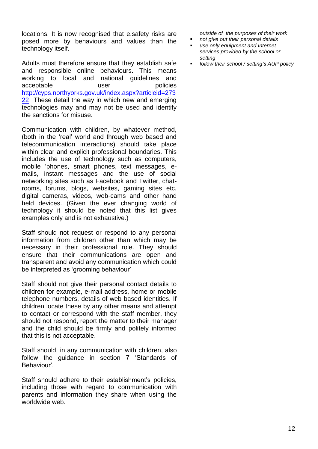locations. It is now recognised that e.safety risks are posed more by behaviours and values than the technology itself.

Adults must therefore ensure that they establish safe and responsible online behaviours. This means working to local and national guidelines and acceptable user user policies [http://cyps.northyorks.gov.uk/index.aspx?articleid=273](http://cyps.northyorks.gov.uk/index.aspx?articleid=27322) [22](http://cyps.northyorks.gov.uk/index.aspx?articleid=27322) These detail the way in which new and emerging technologies may and may not be used and identify the sanctions for misuse.

Communication with children, by whatever method, (both in the 'real' world and through web based and telecommunication interactions) should take place within clear and explicit professional boundaries. This includes the use of technology such as computers, mobile 'phones, smart phones, text messages, emails, instant messages and the use of social networking sites such as Facebook and Twitter, chatrooms, forums, blogs, websites, gaming sites etc. digital cameras, videos, web-cams and other hand held devices. (Given the ever changing world of technology it should be noted that this list gives examples only and is not exhaustive.)

Staff should not request or respond to any personal information from children other than which may be necessary in their professional role. They should ensure that their communications are open and transparent and avoid any communication which could be interpreted as 'grooming behaviour'

Staff should not give their personal contact details to children for example, e-mail address, home or mobile telephone numbers, details of web based identities. If children locate these by any other means and attempt to contact or correspond with the staff member, they should not respond, report the matter to their manager and the child should be firmly and politely informed that this is not acceptable.

Staff should, in any communication with children, also follow the guidance in section 7 'Standards of Behaviour'.

Staff should adhere to their establishment's policies, including those with regard to communication with parents and information they share when using the worldwide web.

*outside of the purposes of their work*

- *not give out their personal details*
- *use only equipment and Internet services provided by the school or setting*
- *follow their school / setting's AUP policy*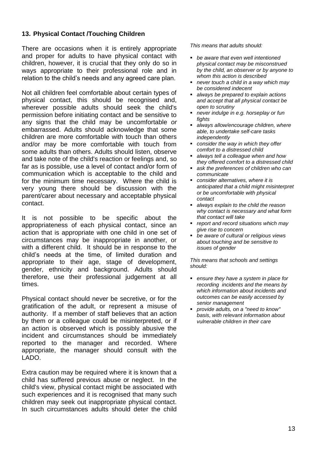## **13. Physical Contact /Touching Children**

There are occasions when it is entirely appropriate and proper for adults to have physical contact with children, however, it is crucial that they only do so in ways appropriate to their professional role and in relation to the child's needs and any agreed care plan.

Not all children feel comfortable about certain types of physical contact, this should be recognised and, wherever possible adults should seek the child's permission before initiating contact and be sensitive to any signs that the child may be uncomfortable *or* embarrassed. Adults should acknowledge that some children are more comfortable with touch than others and/or may be more comfortable with touch from some adults than others. Adults should listen, observe and take note of the child's reaction or feelings and, so far as is possible, use a level of contact and/or form of communication which is acceptable to the child and for the minimum time necessary. Where the child is very young there should be discussion with the parent/carer about necessary and acceptable physical contact.

It is not possible to be specific about the appropriateness of each physical contact, since an action that is appropriate with one child in one set of circumstances may be inappropriate in another, or with a different child. It should be in response to the child's needs at the time, of limited duration and appropriate to their age, stage of development, gender, ethnicity and background. Adults should therefore, use their professional judgement at all times.

Physical contact should never be secretive, or for the gratification of the adult, or represent a misuse of authority. If a member of staff believes that an action by them or a colleague could be misinterpreted, or if an action is observed which is possibly abusive the incident and circumstances should be immediately reported to the manager and recorded. Where appropriate, the manager should consult with the LADO.

Extra caution may be required where it is known that a child has suffered previous abuse or neglect. In the child's view, physical contact might be associated with such experiences and it is recognised that many such children may seek out inappropriate physical contact. In such circumstances adults should deter the child *This means that adults should:*

- *be aware that even well intentioned physical contact may be misconstrued by the child, an observer or by anyone to whom this action is described*
- *never touch a child in a way which may be considered indecent*
- *always be prepared to explain actions and accept that all physical contact be open to scrutiny*
- *never indulge in e.g. horseplay or fun fights*
- *always allow/encourage children, where able, to undertake self-care tasks independently*
- *consider the way in which they offer comfort to a distressed child*
- *always tell a colleague when and how they offered comfort to a distressed child*
- *ask the preferences of children who can communicate*
- *consider alternatives, where it is anticipated that a child might misinterpret or be uncomfortable with physical contact*
- *always explain to the child the reason why contact is necessary and what form that contact will take*
- *report and record situations which may give rise to concern*
- *be aware of cultural or religious views about touching and be sensitive to issues of gender*

*This means that schools and settings should:*

- *ensure they have a system in place for recording incidents and the means by which information about incidents and outcomes can be easily accessed by senior management*
- *provide adults, on a "need to know" basis, with relevant information about vulnerable children in their care*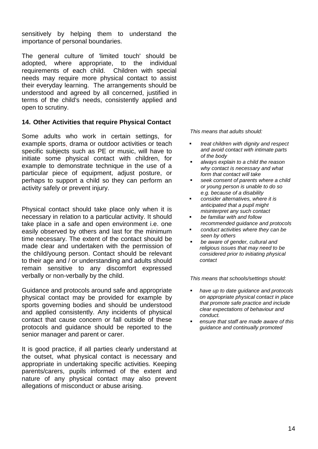sensitively by helping them to understand the importance of personal boundaries.

The general culture of 'limited touch' should be adopted, where appropriate, to the individual requirements of each child. Children with special needs may require more physical contact to assist their everyday learning. The arrangements should be understood and agreed by all concerned, justified in terms of the child's needs, consistently applied and open to scrutiny.

## **14. Other Activities that require Physical Contact**

Some adults who work in certain settings, for example sports, drama or outdoor activities or teach specific subjects such as PE or music, will have to initiate some physical contact with children, for example to demonstrate technique in the use of a particular piece of equipment, adjust posture, or perhaps to support a child so they can perform an activity safely or prevent injury.

Physical contact should take place only when it is necessary in relation to a particular activity. It should take place in a safe and open environment i.e. one easily observed by others and last for the minimum time necessary. The extent of the contact should be made clear and undertaken with the permission of the child/young person. Contact should be relevant to their age and / or understanding and adults should remain sensitive to any discomfort expressed verbally or non-verbally by the child.

Guidance and protocols around safe and appropriate physical contact may be provided for example by sports governing bodies and should be understood and applied consistently. Any incidents of physical contact that cause concern or fall outside of these protocols and guidance should be reported to the senior manager and parent or carer.

It is good practice, if all parties clearly understand at the outset, what physical contact is necessary and appropriate in undertaking specific activities. Keeping parents/carers, pupils informed of the extent and nature of any physical contact may also prevent allegations of misconduct or abuse arising.

*This means that adults should:*

- *treat children with dignity and respect and avoid contact with intimate parts of the body*
- *always explain to a child the reason why contact is necessary and what form that contact will take*
- *seek consent of parents where a child or young person is unable to do so e.g. because of a disability*
- *consider alternatives, where it is anticipated that a pupil might misinterpret any such contact*
- *be familiar with and follow recommended guidance and protocols*
- *conduct activities where they can be seen by others*
- *be aware of gender, cultural and religious issues that may need to be considered prior to initiating physical contact*

*This means that schools/settings should:*

- *have up to date guidance and protocols on appropriate physical contact in place that promote safe practice and include clear expectations of behaviour and conduct.*
- *ensure that staff are made aware of this guidance and continually promoted*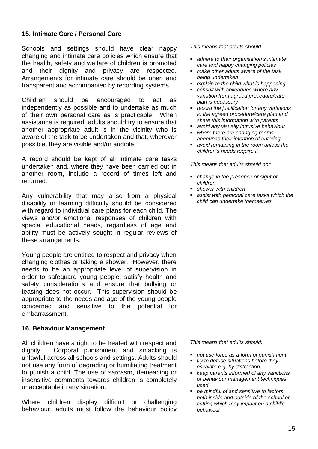## **15. Intimate Care / Personal Care**

Schools and settings should have clear nappy changing and intimate care policies which ensure that the health, safety and welfare of children is promoted and their dignity and privacy are respected. Arrangements for intimate care should be open and transparent and accompanied by recording systems.

Children should be encouraged to act as independently as possible and to undertake as much of their own personal care as is practicable. When assistance is required, adults should try to ensure that another appropriate adult is in the vicinity who is aware of the task to be undertaken and that, wherever possible, they are visible and/or audible.

A record should be kept of all intimate care tasks undertaken and, where they have been carried out in another room, include a record of times left and returned.

Any vulnerability that may arise from a physical disability or learning difficulty should be considered with regard to individual care plans for each child. The views and/or emotional responses of children with special educational needs, regardless of age and ability must be actively sought in regular reviews of these arrangements.

Young people are entitled to respect and privacy when changing clothes or taking a shower. However, there needs to be an appropriate level of supervision in order to safeguard young people, satisfy health and safety considerations and ensure that bullying or teasing does not occur. This supervision should be appropriate to the needs and age of the young people concerned and sensitive to the potential for embarrassment.

## **16. Behaviour Management**

All children have a right to be treated with respect and dignity. Corporal punishment and smacking is unlawful across all schools and settings. Adults should not use any form of degrading or humiliating treatment to punish a child. The use of sarcasm, demeaning or insensitive comments towards children is completely unacceptable in any situation.

Where children display difficult or challenging behaviour, adults must follow the behaviour policy *This means that adults should:*

- *adhere to their organisation's intimate care and nappy changing policies*
- *make other adults aware of the task being undertaken*
- *explain to the child what is happening*
- *consult with colleagues where any variation from agreed procedure/care plan is necessary*
- *record the justification for any variations to the agreed procedure/care plan and share this information with parents*
- *avoid any visually intrusive behaviour*
- *where there are changing rooms announce their intention of entering*
- *avoid remaining in the room unless the children's needs require it*

*This means that adults should not:*

- *change in the presence or sight of children*
- *shower with children*
- *assist with personal care tasks which the child can undertake themselves*

- *not use force as a form of punishment*
- *try to defuse situations before they escalate e.g. by distraction*
- *keep parents informed of any sanctions or behaviour management techniques used*
- *be mindful of and sensitive to factors both inside and outside of the school or setting which may impact on a child's behaviour*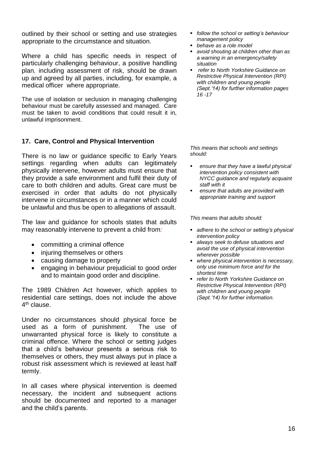outlined by their school or setting and use strategies appropriate to the circumstance and situation.

Where a child has specific needs in respect of particularly challenging behaviour, a positive handling plan*,* including assessment of risk, should be drawn up and agreed by all parties, including, for example, a medical officer where appropriate.

The use of isolation or seclusion in managing challenging behaviour must be carefully assessed and managed. Care must be taken to avoid conditions that could result it in, unlawful imprisonment.

## **17. Care, Control and Physical Intervention**

There is no law or guidance specific to Early Years settings regarding when adults can legitimately physically intervene, however adults must ensure that they provide a safe environment and fulfil their duty of care to both children and adults. Great care must be exercised in order that adults do not physically intervene in circumstances or in a manner which could be unlawful and thus be open to allegations of assault.

The law and guidance for schools states that adults may reasonably intervene to prevent a child from*:*

- committing a criminal offence
- injuring themselves or others
- causing damage to property
- engaging in behaviour prejudicial to good order and to maintain good order and discipline.

The 1989 Children Act however, which applies to residential care settings, does not include the above 4<sup>th</sup> clause.

Under no circumstances should physical force be used as a form of punishment. The use of unwarranted physical force is likely to constitute a criminal offence. Where the school or setting judges that a child's behaviour presents a serious risk to themselves or others, they must always put in place a robust risk assessment which is reviewed at least half termly.

In all cases where physical intervention is deemed necessary, the incident and subsequent actions should be documented and reported to a manager and the child's parents.

- *follow the school or setting's behaviour management policy*
- *behave as a role model*
- *avoid shouting at children other than as a warning in an emergency/safety situation*
- *refer to North Yorkshire Guidance on Restrictive Physical Intervention (RPI) with children and young people (Sept.'14) for further information pages 16 -17*

*This means that schools and settings should:*

- *ensure that they have a lawful physical intervention policy consistent with NYCC guidance and regularly acquaint staff with it*
- *ensure that adults are provided with appropriate training and support*

- *adhere to the school or setting's physical intervention policy*
- *always seek to defuse situations and avoid the use of physical intervention wherever possible*
- *where physical intervention is necessary, only use minimum force and for the shortest time*
- *refer to North Yorkshire Guidance on Restrictive Physical Intervention (RPI) with children and young people (Sept.'14) for further information.*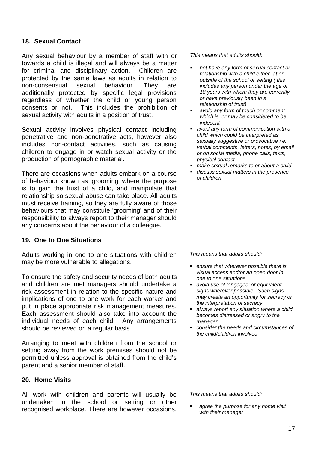## **18. Sexual Contact**

Any sexual behaviour by a member of staff with or towards a child is illegal and will always be a matter for criminal and disciplinary action. Children are protected by the same laws as adults in relation to non-consensual sexual behaviour. They are additionally protected by specific legal provisions regardless of whether the child or young person consents or not. This includes the prohibition of sexual activity with adults in a position of trust.

Sexual activity involves physical contact including penetrative and non-penetrative acts, however also includes non-contact activities, such as causing children to engage in or watch sexual activity or the production of pornographic material.

There are occasions when adults embark on a course of behaviour known as 'grooming' where the purpose is to gain the trust of a child, and manipulate that relationship so sexual abuse can take place. All adults must receive training, so they are fully aware of those behaviours that may constitute 'grooming' and of their responsibility to always report to their manager should any concerns about the behaviour of a colleague.

## **19. One to One Situations**

Adults working in one to one situations with children may be more vulnerable to allegations.

To ensure the safety and security needs of both adults and children are met managers should undertake a risk assessment in relation to the specific nature and implications of one to one work for each worker and put in place appropriate risk management measures. Each assessment should also take into account the individual needs of each child. Any arrangements should be reviewed on a regular basis.

Arranging to meet with children from the school or setting away from the work premises should not be permitted unless approval is obtained from the child's parent and a senior member of staff.

#### **20. Home Visits**

All work with children and parents will usually be undertaken in the school or setting or other recognised workplace. There are however occasions,

*This means that adults should:*

- *not have any form of sexual contact or relationship with a child either at or outside of the school or setting ( this includes any person under the age of 18 years with whom they are currently or have previously been in a relationship of trust)*
- *avoid any form of touch or comment which is, or may be considered to be, indecent*
- *avoid any form of communication with a child which could be interpreted as sexually suggestive or provocative i.e. verbal comments, letters, notes, by email or on social media, phone calls, texts, physical contact*
- *make sexual remarks to or about a child*
- *discuss sexual matters in the presence of children*

*This means that adults should:*

- *ensure that wherever possible there is visual access and/or an open door in one to one situations*
- *avoid use of 'engaged' or equivalent signs wherever possible. Such signs may create an opportunity for secrecy or the interpretation of secrecy*
- *always report any situation where a child becomes distressed or angry to the manager*
- *consider the needs and circumstances of the child/children involved*

*This means that adults should:* 

 *agree the purpose for any home visit with their manager*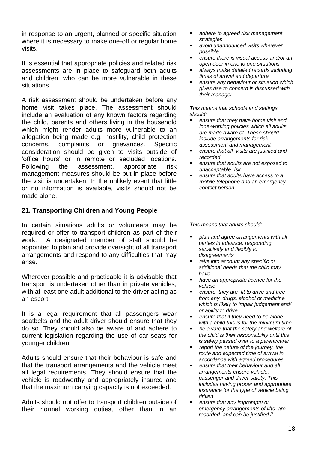in response to an urgent, planned or specific situation where it is necessary to make one-off or regular home visits.

It is essential that appropriate policies and related risk assessments are in place to safeguard both adults and children, who can be more vulnerable in these situations.

A risk assessment should be undertaken before any home visit takes place. The assessment should include an evaluation of any known factors regarding the child, parents and others living in the household which might render adults more vulnerable to an allegation being made e.g. hostility, child protection concerns, complaints or grievances. Specific consideration should be given to visits outside of 'office hours' or in remote or secluded locations. Following the assessment, appropriate risk management measures should be put in place before the visit is undertaken. In the unlikely event that little or no information is available, visits should not be made alone.

## **21. Transporting Children and Young People**

In certain situations adults or volunteers may be required or offer to transport children as part of their work. A designated member of staff should be appointed to plan and provide oversight of all transport arrangements and respond to any difficulties that may arise.

Wherever possible and practicable it is advisable that transport is undertaken other than in private vehicles, with at least one adult additional to the driver acting as an escort.

It is a legal requirement that all passengers wear seatbelts and the adult driver should ensure that they do so. They should also be aware of and adhere to current legislation regarding the use of car seats for younger children.

Adults should ensure that their behaviour is safe and that the transport arrangements and the vehicle meet all legal requirements. They should ensure that the vehicle is roadworthy and appropriately insured and that the maximum carrying capacity is not exceeded.

Adults should not offer to transport children outside of their normal working duties, other than in an

- *adhere to agreed risk management strategies*
- *avoid unannounced visits wherever possible*
- *ensure there is visual access and/or an open door in one to one situations*
- *always make detailed records including times of arrival and departure*
- *ensure any behaviour or situation which gives rise to concern is discussed with their manager*

*This means that schools and settings should:*

- *ensure that they have home visit and lone-working policies which all adults are made aware of. These should include arrangements for risk assessment and management*
- *ensure that all visits are justified and recorded*
- *ensure that adults are not exposed to unacceptable risk*
- *ensure that adults have access to a mobile telephone and an emergency contact person*

- *plan and agree arrangements with all parties in advance, responding sensitively and flexibly to disagreements*
- *take into account any specific or additional needs that the child may have*
- *have an appropriate licence for the vehicle*
- *ensure they are fit to drive and free from any drugs, alcohol or medicine which is likely to impair judgement and/ or ability to drive*
- *ensure that if they need to be alone with a child this is for the minimum time*
- *be aware that the safety and welfare of the child is their responsibility until this is safely passed over to a parent/carer*
- *report the nature of the journey, the route and expected time of arrival in accordance with agreed procedures*
- *ensure that their behaviour and all arrangements ensure vehicle, passenger and driver safety. This includes having proper and appropriate insurance for the type of vehicle being driven*
- *ensure that any impromptu or emergency arrangements of lifts are recorded and can be justified if*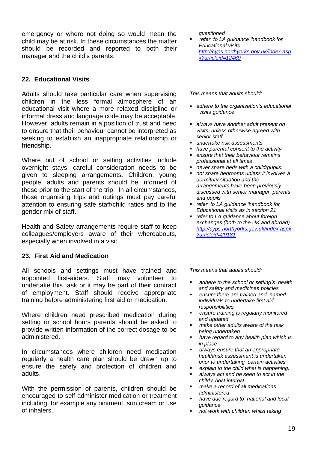emergency or where not doing so would mean the child may be at risk. In these circumstances the matter should be recorded and reported to both their manager and the child's parents.

## **22. Educational Visits**

Adults should take particular care when supervising children in the less formal atmosphere of an educational visit where a more relaxed discipline or informal dress and language code may be acceptable. However, adults remain in a position of trust and need to ensure that their behaviour cannot be interpreted as seeking to establish an inappropriate relationship or friendship.

Where out of school or setting activities include overnight stays, careful consideration needs to be given to sleeping arrangements. Children, young people, adults and parents should be informed of these prior to the start of the trip. In all circumstances, those organising trips and outings must pay careful attention to ensuring safe staff/child ratios and to the gender mix of staff.

Health and Safety arrangements require staff to keep colleagues/employers aware of their whereabouts, especially when involved in a visit.

## **23. First Aid and Medication**

All schools and settings must have trained and appointed first-aiders. Staff may volunteer to undertake this task or it may be part of their contract of employment. Staff should receive appropriate training before administering first aid or medication.

Where children need prescribed medication during setting or school hours parents should be asked to provide written information of the correct dosage to be administered.

In circumstances where children need medication regularly a health care plan should be drawn up to ensure the safety and protection of children and adults.

With the permission of parents, children should be encouraged to self-administer medication or treatment including, for example any ointment, sun cream or use of inhalers.

*questioned*

 *refer to LA guidance 'handbook for Educational visits [http://cyps.northyorks.gov.uk/index.asp](http://cyps.northyorks.gov.uk/index.aspx?articleid=12469) [x?articleid=12469](http://cyps.northyorks.gov.uk/index.aspx?articleid=12469)*

*This means that adults should:*

- *adhere to the organisation's educational visits guidance*
- *always have another adult present on visits, unless otherwise agreed with senior staff*
- *undertake risk assessments*
- *have parental consent to the activity*
- *ensure that their behaviour remains professional at all times*
- *never share beds with a child/pupils.*
- *not share bedrooms unless it involves a dormitory situation and the arrangements have been previously discussed with senior manager, parents and pupils*
- *refer to LA guidance 'handbook for Educational visits as in section 21*
- *refer to LA guidance about foreign exchanges (both to the UK and abroad) [http://cyps.northyorks.gov.uk/index.aspx](http://cyps.northyorks.gov.uk/index.aspx?articleid=29181) [?articleid=29181](http://cyps.northyorks.gov.uk/index.aspx?articleid=29181)*

- *adhere to the school or setting's health and safety and medicines policies*
- *ensure there are trained and named individuals to undertake first aid responsibilities*
- *ensure training is regularly monitored and updated*
- *make other adults aware of the task being undertaken*
- *have regard to any health plan which is in place*
- *always ensure that an appropriate health/risk assessment is undertaken prior to undertaking certain activities*
- *explain to the child what is happening.*
- *always act and be seen to act in the child's best interest*
- *make a record of all medications administered*
- *have due regard to national and local guidance,*
- *not work with children whilst taking*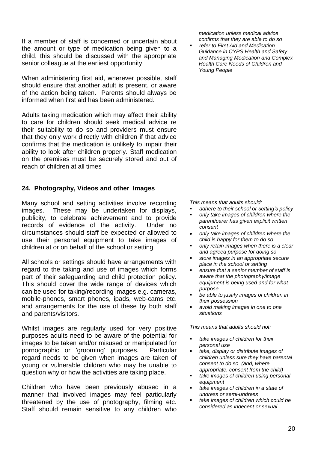If a member of staff is concerned or uncertain about the amount or type of medication being given to a child, this should be discussed with the appropriate senior colleague at the earliest opportunity.

When administering first aid, wherever possible, staff should ensure that another adult is present, or aware of the action being taken. Parents should always be informed when first aid has been administered.

Adults taking medication which may affect their ability to care for children should seek medical advice re their suitability to do so and providers must ensure that they only work directly with children if that advice confirms that the medication is unlikely to impair their ability to look after children properly. Staff medication on the premises must be securely stored and out of reach of children at all times

## **24. Photography, Videos and other Images**

Many school and setting activities involve recording images. These may be undertaken for displays, publicity, to celebrate achievement and to provide records of evidence of the activity. Under no circumstances should staff be expected or allowed to use their personal equipment to take images of children at or on behalf of the school or setting.

All schools or settings should have arrangements with regard to the taking and use of images which forms part of their safeguarding and child protection policy. This should cover the wide range of devices which can be used for taking/recording images e.g. cameras, mobile-phones, smart phones, ipads, web-cams etc. and arrangements for the use of these by both staff and parents/visitors.

Whilst images are regularly used for very positive purposes adults need to be aware of the potential for images to be taken and/or misused or manipulated for pornographic or 'grooming' purposes. Particular regard needs to be given when images are taken of young or vulnerable children who may be unable to question why or how the activities are taking place.

Children who have been previously abused in a manner that involved images may feel particularly threatened by the use of photography, filming etc. Staff should remain sensitive to any children who

*medication unless medical advice confirms that they are able to do so* 

 *refer to First Aid and Medication Guidance in CYPS Health and Safety and Managing Medication and Complex Health Care Needs of Children and Young People*

*This means that adults should:*

- *adhere to their school or setting's policy*
- *only take images of children where the parent/carer has given explicit written consent*
- *only take images of children where the child is happy for them to do so*
- *only retain images when there is a clear and agreed purpose for doing so*
- *store images in an appropriate secure place in the school or setting*
- *ensure that a senior member of staff is aware that the photography/image equipment is being used and for what purpose*
- *be able to justify images of children in their possession*
- *avoid making images in one to one situations*

- *take images of children for their personal use*
- *take, display or distribute images of children unless sure they have parental consent to do so (and, where appropriate, consent from the child)*
- *take images of children using personal equipment*
- *take images of children in a state of undress or semi-undress*
- *take images of children which could be considered as indecent or sexual*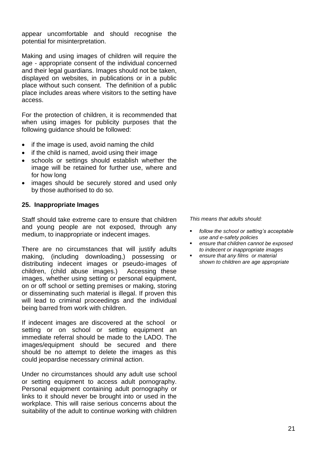appear uncomfortable and should recognise the potential for misinterpretation.

Making and using images of children will require the age - appropriate consent of the individual concerned and their legal guardians. Images should not be taken, displayed on websites, in publications or in a public place without such consent. The definition of a public place includes areas where visitors to the setting have access.

For the protection of children, it is recommended that when using images for publicity purposes that the following guidance should be followed:

- $\bullet$  if the image is used, avoid naming the child
- if the child is named, avoid using their image
- schools or settings should establish whether the image will be retained for further use, where and for how long
- images should be securely stored and used only by those authorised to do so.

#### **25. Inappropriate Images**

Staff should take extreme care to ensure that children and young people are not exposed, through any medium, to inappropriate or indecent images.

There are no circumstances that will justify adults making, (including downloading,) possessing or distributing indecent images or pseudo-images of children, (child abuse images.) Accessing these images, whether using setting or personal equipment, on or off school or setting premises or making, storing or disseminating such material is illegal. If proven this will lead to criminal proceedings and the individual being barred from work with children.

If indecent images are discovered at the school or setting or on school or setting equipment an immediate referral should be made to the LADO. The images/equipment should be secured and there should be no attempt to delete the images as this could jeopardise necessary criminal action.

Under no circumstances should any adult use school or setting equipment to access adult pornography. Personal equipment containing adult pornography or links to it should never be brought into or used in the workplace. This will raise serious concerns about the suitability of the adult to continue working with children

- *follow the school or setting's acceptable use and e-safety policies*
- *ensure that children cannot be exposed to indecent or inappropriate images*
- *ensure that any films or material shown to children are age appropriate*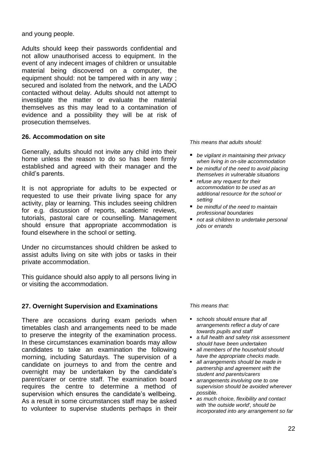and young people.

Adults should keep their passwords confidential and not allow unauthorised access to equipment. In the event of any indecent images of children or unsuitable material being discovered on a computer, the equipment should: not be tampered with in any way ; secured and isolated from the network, and the LADO contacted without delay. Adults should not attempt to investigate the matter or evaluate the material themselves as this may lead to a contamination of evidence and a possibility they will be at risk of prosecution themselves.

## **26. Accommodation on site**

Generally, adults should not invite any child into their home unless the reason to do so has been firmly established and agreed with their manager and the child's parents.

It is not appropriate for adults to be expected or requested to use their private living space for any activity, play or learning. This includes seeing children for e.g. discussion of reports, academic reviews, tutorials, pastoral care or counselling. Management should ensure that appropriate accommodation is found elsewhere in the school or setting.

Under no circumstances should children be asked to assist adults living on site with jobs or tasks in their private accommodation.

This guidance should also apply to all persons living in or visiting the accommodation.

## **27. Overnight Supervision and Examinations**

There are occasions during exam periods when timetables clash and arrangements need to be made to preserve the integrity of the examination process. In these circumstances examination boards may allow candidates to take an examination the following morning, including Saturdays. The supervision of a candidate on journeys to and from the centre and overnight may be undertaken by the candidate's parent/carer or centre staff. The examination board requires the centre to determine a method of supervision which ensures the candidate's wellbeing. As a result in some circumstances staff may be asked to volunteer to supervise students perhaps in their

*This means that adults should:*

- *be vigilant in maintaining their privacy when living in on-site accommodation*
- *be mindful of the need to avoid placing themselves in vulnerable situations*
- *refuse any request for their accommodation to be used as an additional resource for the school or setting*
- *be mindful of the need to maintain professional boundaries*
- *not ask children to undertake personal jobs or errands*

#### *This means that:*

- *schools should ensure that all arrangements reflect a duty of care towards pupils and staff*
- *a full health and safety risk assessment should have been undertaken*
- *all members of the household should have the appropriate checks made.*
- *all arrangements should be made in partnership and agreement with the student and parents/carers*
- *arrangements involving one to one supervision should be avoided wherever possible.*
- *as much choice, flexibility and contact with 'the outside world', should be incorporated into any arrangement so far*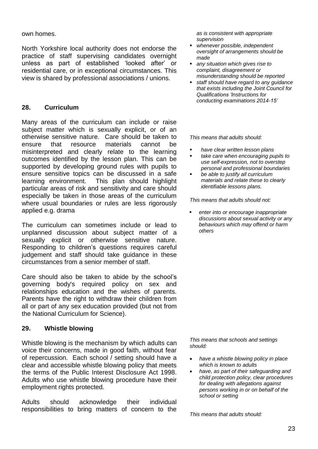own homes.

North Yorkshire local authority does not endorse the practice of staff supervising candidates overnight unless as part of established 'looked after' or residential care, or in exceptional circumstances. This view is shared by professional associations / unions.

## **28. Curriculum**

Many areas of the curriculum can include or raise subject matter which is sexually explicit, or of an otherwise sensitive nature. Care should be taken to ensure that resource materials cannot be misinterpreted and clearly relate to the learning outcomes identified by the lesson plan. This can be supported by developing ground rules with pupils to ensure sensitive topics can be discussed in a safe learning environment. This plan should highlight particular areas of risk and sensitivity and care should especially be taken in those areas of the curriculum where usual boundaries or rules are less rigorously applied e.g. drama

The curriculum can sometimes include or lead to unplanned discussion about subject matter of a sexually explicit or otherwise sensitive nature. Responding to children's questions requires careful judgement and staff should take guidance in these circumstances from a senior member of staff.

Care should also be taken to abide by the school's governing body's required policy on sex and relationships education and the wishes of parents. Parents have the right to withdraw their children from all or part of any sex education provided (but not from the National Curriculum for Science).

## **29. Whistle blowing**

Whistle blowing is the mechanism by which adults can voice their concerns, made in good faith, without fear of repercussion. Each school / setting should have a clear and accessible whistle blowing policy that meets the terms of the Public Interest Disclosure Act 1998. Adults who use whistle blowing procedure have their employment rights protected.

Adults should acknowledge their individual responsibilities to bring matters of concern to the *as is consistent with appropriate supervision*

- *whenever possible, independent oversight of arrangements should be made*
- *any situation which gives rise to complaint, disagreement or misunderstanding should be reported*
- *staff should have regard to any guidance that exists including the Joint Council for Qualifications 'Instructions for conducting examinations 2014-15'*

*This means that adults should:*

- *have clear written lesson plans*
- *take care when encouraging pupils to use self-expression, not to overstep personal and professional boundaries*
- *be able to justify all curriculum materials and relate these to clearly identifiable lessons plans.*

*This means that adults should not:*

 *enter into or encourage inappropriate discussions about sexual activity or any behaviours which may offend or harm others*

*This means that schools and settings should:*

- *have a whistle blowing policy in place which is known to adults*
- *have, as part of their safeguarding and child protection policy, clear procedures for dealing with allegations against persons working in or on behalf of the school or setting*